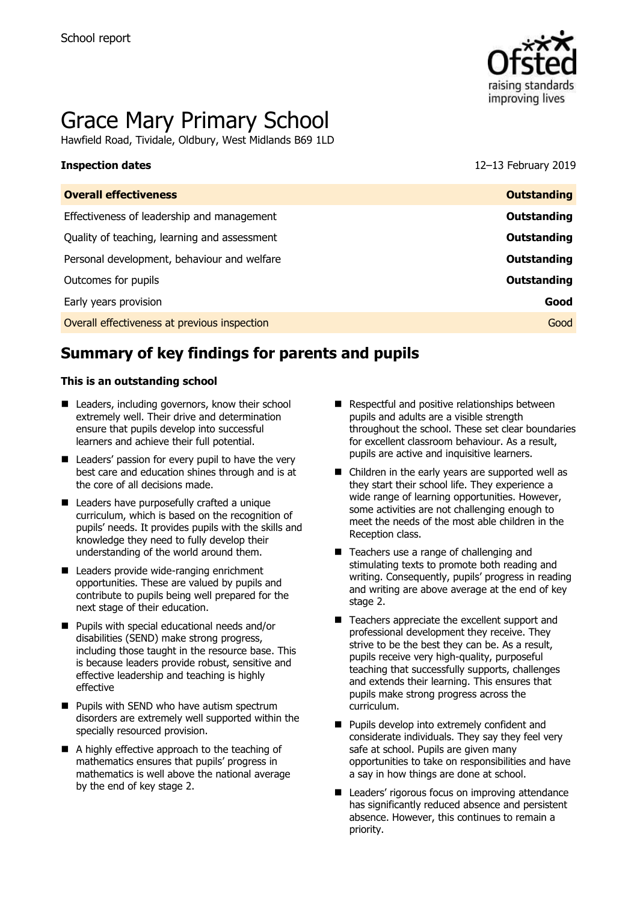

# Grace Mary Primary School

Hawfield Road, Tividale, Oldbury, West Midlands B69 1LD

**Inspection dates** 12–13 February 2019

| <b>Overall effectiveness</b>                 | <b>Outstanding</b> |
|----------------------------------------------|--------------------|
| Effectiveness of leadership and management   | Outstanding        |
| Quality of teaching, learning and assessment | Outstanding        |
| Personal development, behaviour and welfare  | Outstanding        |
| Outcomes for pupils                          | Outstanding        |
| Early years provision                        | Good               |
| Overall effectiveness at previous inspection | Good               |
|                                              |                    |

# **Summary of key findings for parents and pupils**

### **This is an outstanding school**

- Leaders, including governors, know their school extremely well. Their drive and determination ensure that pupils develop into successful learners and achieve their full potential.
- Leaders' passion for every pupil to have the very best care and education shines through and is at the core of all decisions made.
- **Leaders have purposefully crafted a unique** curriculum, which is based on the recognition of pupils' needs. It provides pupils with the skills and knowledge they need to fully develop their understanding of the world around them.
- Leaders provide wide-ranging enrichment opportunities. These are valued by pupils and contribute to pupils being well prepared for the next stage of their education.
- **Pupils with special educational needs and/or** disabilities (SEND) make strong progress, including those taught in the resource base. This is because leaders provide robust, sensitive and effective leadership and teaching is highly effective
- **Pupils with SEND who have autism spectrum** disorders are extremely well supported within the specially resourced provision.
- A highly effective approach to the teaching of mathematics ensures that pupils' progress in mathematics is well above the national average by the end of key stage 2.
- Respectful and positive relationships between pupils and adults are a visible strength throughout the school. These set clear boundaries for excellent classroom behaviour. As a result, pupils are active and inquisitive learners.
- Children in the early years are supported well as they start their school life. They experience a wide range of learning opportunities. However, some activities are not challenging enough to meet the needs of the most able children in the Reception class.
- Teachers use a range of challenging and stimulating texts to promote both reading and writing. Consequently, pupils' progress in reading and writing are above average at the end of key stage 2.
- Teachers appreciate the excellent support and professional development they receive. They strive to be the best they can be. As a result, pupils receive very high-quality, purposeful teaching that successfully supports, challenges and extends their learning. This ensures that pupils make strong progress across the curriculum.
- **Pupils develop into extremely confident and** considerate individuals. They say they feel very safe at school. Pupils are given many opportunities to take on responsibilities and have a say in how things are done at school.
- **Leaders' rigorous focus on improving attendance** has significantly reduced absence and persistent absence. However, this continues to remain a priority.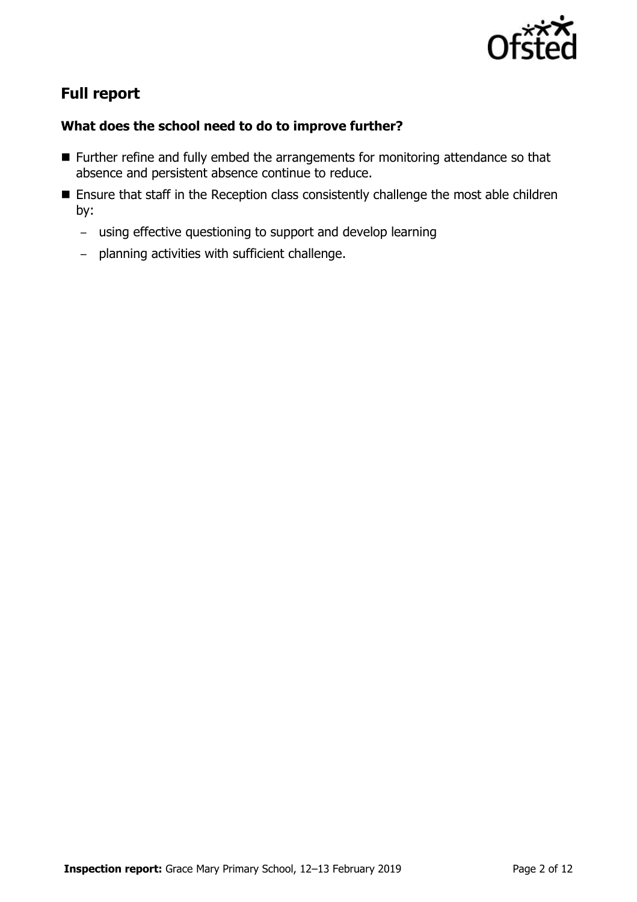

# **Full report**

### **What does the school need to do to improve further?**

- **Further refine and fully embed the arrangements for monitoring attendance so that** absence and persistent absence continue to reduce.
- **Ensure that staff in the Reception class consistently challenge the most able children** by:
	- using effective questioning to support and develop learning
	- planning activities with sufficient challenge.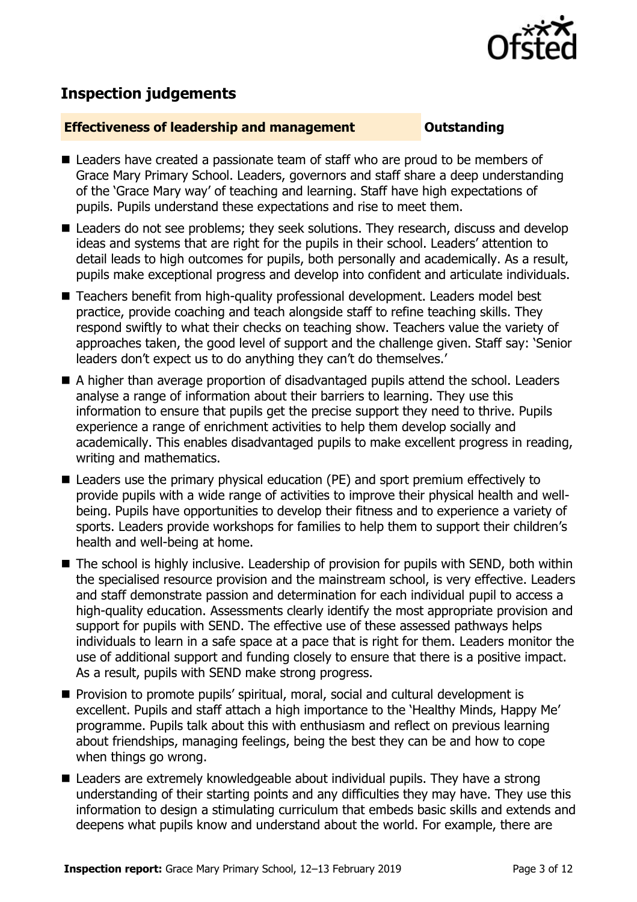

# **Inspection judgements**

### **Effectiveness of leadership and management COULDER COULDER OUTSTANDING**

- Leaders have created a passionate team of staff who are proud to be members of Grace Mary Primary School. Leaders, governors and staff share a deep understanding of the 'Grace Mary way' of teaching and learning. Staff have high expectations of pupils. Pupils understand these expectations and rise to meet them.
- Leaders do not see problems; they seek solutions. They research, discuss and develop ideas and systems that are right for the pupils in their school. Leaders' attention to detail leads to high outcomes for pupils, both personally and academically. As a result, pupils make exceptional progress and develop into confident and articulate individuals.
- Teachers benefit from high-quality professional development. Leaders model best practice, provide coaching and teach alongside staff to refine teaching skills. They respond swiftly to what their checks on teaching show. Teachers value the variety of approaches taken, the good level of support and the challenge given. Staff say: 'Senior leaders don't expect us to do anything they can't do themselves.'
- A higher than average proportion of disadvantaged pupils attend the school. Leaders analyse a range of information about their barriers to learning. They use this information to ensure that pupils get the precise support they need to thrive. Pupils experience a range of enrichment activities to help them develop socially and academically. This enables disadvantaged pupils to make excellent progress in reading, writing and mathematics.
- Leaders use the primary physical education (PE) and sport premium effectively to provide pupils with a wide range of activities to improve their physical health and wellbeing. Pupils have opportunities to develop their fitness and to experience a variety of sports. Leaders provide workshops for families to help them to support their children's health and well-being at home.
- The school is highly inclusive. Leadership of provision for pupils with SEND, both within the specialised resource provision and the mainstream school, is very effective. Leaders and staff demonstrate passion and determination for each individual pupil to access a high-quality education. Assessments clearly identify the most appropriate provision and support for pupils with SEND. The effective use of these assessed pathways helps individuals to learn in a safe space at a pace that is right for them. Leaders monitor the use of additional support and funding closely to ensure that there is a positive impact. As a result, pupils with SEND make strong progress.
- **Provision to promote pupils' spiritual, moral, social and cultural development is** excellent. Pupils and staff attach a high importance to the 'Healthy Minds, Happy Me' programme. Pupils talk about this with enthusiasm and reflect on previous learning about friendships, managing feelings, being the best they can be and how to cope when things go wrong.
- Leaders are extremely knowledgeable about individual pupils. They have a strong understanding of their starting points and any difficulties they may have. They use this information to design a stimulating curriculum that embeds basic skills and extends and deepens what pupils know and understand about the world. For example, there are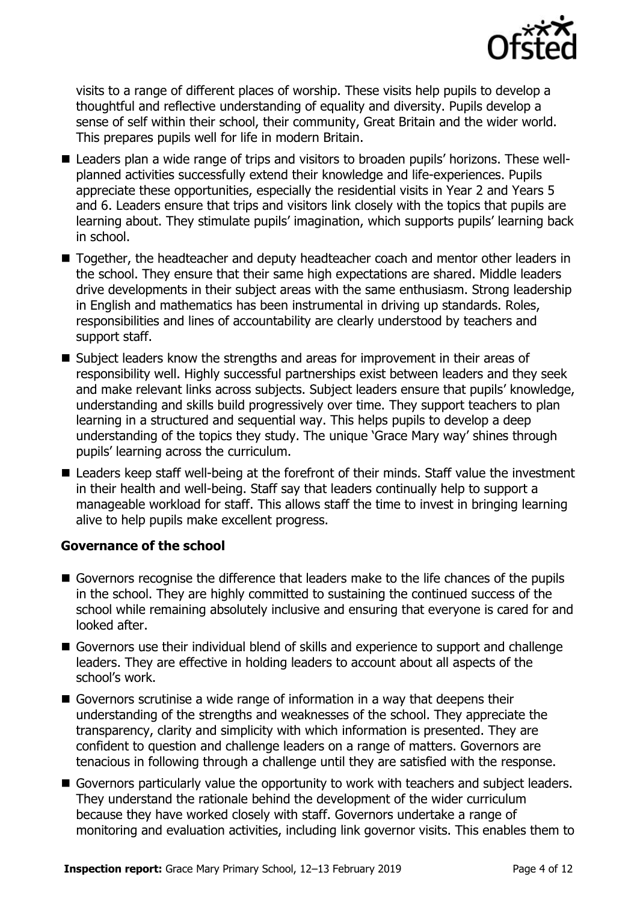

visits to a range of different places of worship. These visits help pupils to develop a thoughtful and reflective understanding of equality and diversity. Pupils develop a sense of self within their school, their community, Great Britain and the wider world. This prepares pupils well for life in modern Britain.

- Leaders plan a wide range of trips and visitors to broaden pupils' horizons. These wellplanned activities successfully extend their knowledge and life-experiences. Pupils appreciate these opportunities, especially the residential visits in Year 2 and Years 5 and 6. Leaders ensure that trips and visitors link closely with the topics that pupils are learning about. They stimulate pupils' imagination, which supports pupils' learning back in school.
- Together, the headteacher and deputy headteacher coach and mentor other leaders in the school. They ensure that their same high expectations are shared. Middle leaders drive developments in their subject areas with the same enthusiasm. Strong leadership in English and mathematics has been instrumental in driving up standards. Roles, responsibilities and lines of accountability are clearly understood by teachers and support staff.
- Subject leaders know the strengths and areas for improvement in their areas of responsibility well. Highly successful partnerships exist between leaders and they seek and make relevant links across subjects. Subject leaders ensure that pupils' knowledge, understanding and skills build progressively over time. They support teachers to plan learning in a structured and sequential way. This helps pupils to develop a deep understanding of the topics they study. The unique 'Grace Mary way' shines through pupils' learning across the curriculum.
- Leaders keep staff well-being at the forefront of their minds. Staff value the investment in their health and well-being. Staff say that leaders continually help to support a manageable workload for staff. This allows staff the time to invest in bringing learning alive to help pupils make excellent progress.

### **Governance of the school**

- Governors recognise the difference that leaders make to the life chances of the pupils in the school. They are highly committed to sustaining the continued success of the school while remaining absolutely inclusive and ensuring that everyone is cared for and looked after.
- Governors use their individual blend of skills and experience to support and challenge leaders. They are effective in holding leaders to account about all aspects of the school's work.
- Governors scrutinise a wide range of information in a way that deepens their understanding of the strengths and weaknesses of the school. They appreciate the transparency, clarity and simplicity with which information is presented. They are confident to question and challenge leaders on a range of matters. Governors are tenacious in following through a challenge until they are satisfied with the response.
- Governors particularly value the opportunity to work with teachers and subject leaders. They understand the rationale behind the development of the wider curriculum because they have worked closely with staff. Governors undertake a range of monitoring and evaluation activities, including link governor visits. This enables them to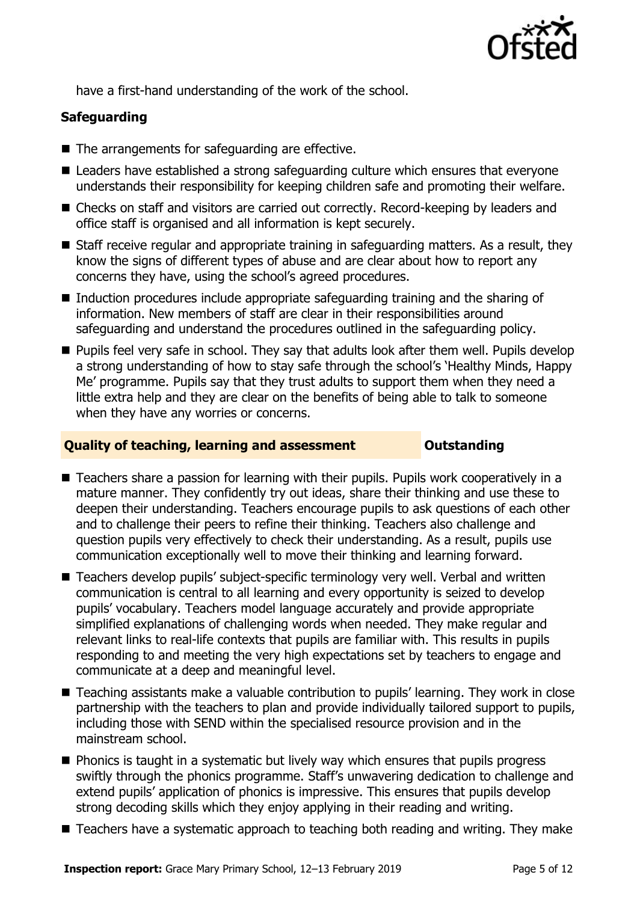

have a first-hand understanding of the work of the school.

### **Safeguarding**

- The arrangements for safeguarding are effective.
- Leaders have established a strong safeguarding culture which ensures that everyone understands their responsibility for keeping children safe and promoting their welfare.
- Checks on staff and visitors are carried out correctly. Record-keeping by leaders and office staff is organised and all information is kept securely.
- Staff receive regular and appropriate training in safeguarding matters. As a result, they know the signs of different types of abuse and are clear about how to report any concerns they have, using the school's agreed procedures.
- Induction procedures include appropriate safeguarding training and the sharing of information. New members of staff are clear in their responsibilities around safeguarding and understand the procedures outlined in the safeguarding policy.
- **Pupils feel very safe in school. They say that adults look after them well. Pupils develop** a strong understanding of how to stay safe through the school's 'Healthy Minds, Happy Me' programme. Pupils say that they trust adults to support them when they need a little extra help and they are clear on the benefits of being able to talk to someone when they have any worries or concerns.

### **Quality of teaching, learning and assessment Outstanding**

- Teachers share a passion for learning with their pupils. Pupils work cooperatively in a mature manner. They confidently try out ideas, share their thinking and use these to deepen their understanding. Teachers encourage pupils to ask questions of each other and to challenge their peers to refine their thinking. Teachers also challenge and question pupils very effectively to check their understanding. As a result, pupils use communication exceptionally well to move their thinking and learning forward.
- Teachers develop pupils' subject-specific terminology very well. Verbal and written communication is central to all learning and every opportunity is seized to develop pupils' vocabulary. Teachers model language accurately and provide appropriate simplified explanations of challenging words when needed. They make regular and relevant links to real-life contexts that pupils are familiar with. This results in pupils responding to and meeting the very high expectations set by teachers to engage and communicate at a deep and meaningful level.
- Teaching assistants make a valuable contribution to pupils' learning. They work in close partnership with the teachers to plan and provide individually tailored support to pupils, including those with SEND within the specialised resource provision and in the mainstream school.
- $\blacksquare$  Phonics is taught in a systematic but lively way which ensures that pupils progress swiftly through the phonics programme. Staff's unwavering dedication to challenge and extend pupils' application of phonics is impressive. This ensures that pupils develop strong decoding skills which they enjoy applying in their reading and writing.
- Teachers have a systematic approach to teaching both reading and writing. They make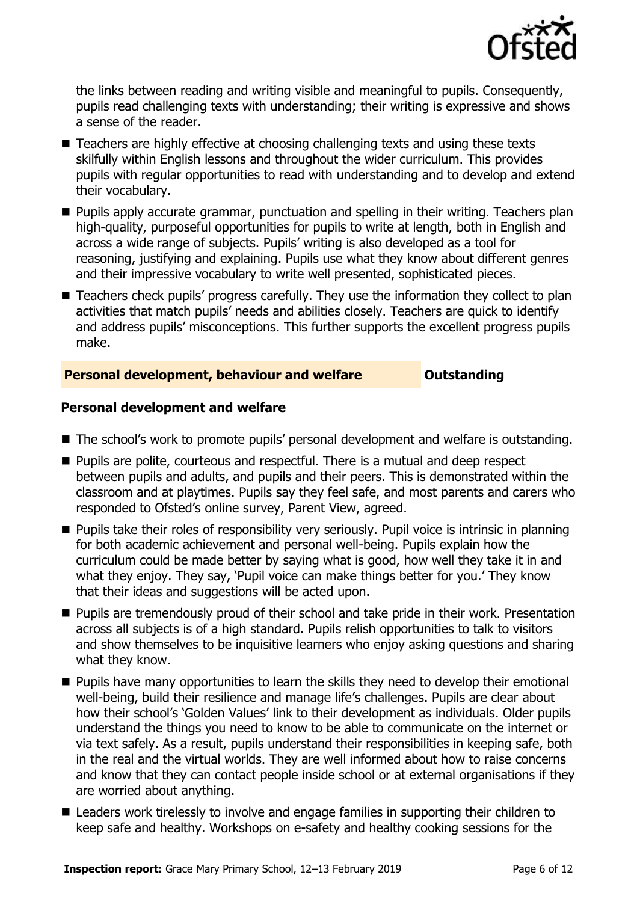

the links between reading and writing visible and meaningful to pupils. Consequently, pupils read challenging texts with understanding; their writing is expressive and shows a sense of the reader.

- Teachers are highly effective at choosing challenging texts and using these texts skilfully within English lessons and throughout the wider curriculum. This provides pupils with regular opportunities to read with understanding and to develop and extend their vocabulary.
- **Pupils apply accurate grammar, punctuation and spelling in their writing. Teachers plan** high-quality, purposeful opportunities for pupils to write at length, both in English and across a wide range of subjects. Pupils' writing is also developed as a tool for reasoning, justifying and explaining. Pupils use what they know about different genres and their impressive vocabulary to write well presented, sophisticated pieces.
- Teachers check pupils' progress carefully. They use the information they collect to plan activities that match pupils' needs and abilities closely. Teachers are quick to identify and address pupils' misconceptions. This further supports the excellent progress pupils make.

### **Personal development, behaviour and welfare <b>COUTS** Outstanding

### **Personal development and welfare**

- The school's work to promote pupils' personal development and welfare is outstanding.
- **Pupils are polite, courteous and respectful. There is a mutual and deep respect** between pupils and adults, and pupils and their peers. This is demonstrated within the classroom and at playtimes. Pupils say they feel safe, and most parents and carers who responded to Ofsted's online survey, Parent View, agreed.
- **Pupils take their roles of responsibility very seriously. Pupil voice is intrinsic in planning** for both academic achievement and personal well-being. Pupils explain how the curriculum could be made better by saying what is good, how well they take it in and what they enjoy. They say, 'Pupil voice can make things better for you.' They know that their ideas and suggestions will be acted upon.
- **Pupils are tremendously proud of their school and take pride in their work. Presentation** across all subjects is of a high standard. Pupils relish opportunities to talk to visitors and show themselves to be inquisitive learners who enjoy asking questions and sharing what they know.
- **Pupils have many opportunities to learn the skills they need to develop their emotional** well-being, build their resilience and manage life's challenges. Pupils are clear about how their school's 'Golden Values' link to their development as individuals. Older pupils understand the things you need to know to be able to communicate on the internet or via text safely. As a result, pupils understand their responsibilities in keeping safe, both in the real and the virtual worlds. They are well informed about how to raise concerns and know that they can contact people inside school or at external organisations if they are worried about anything.
- Leaders work tirelessly to involve and engage families in supporting their children to keep safe and healthy. Workshops on e-safety and healthy cooking sessions for the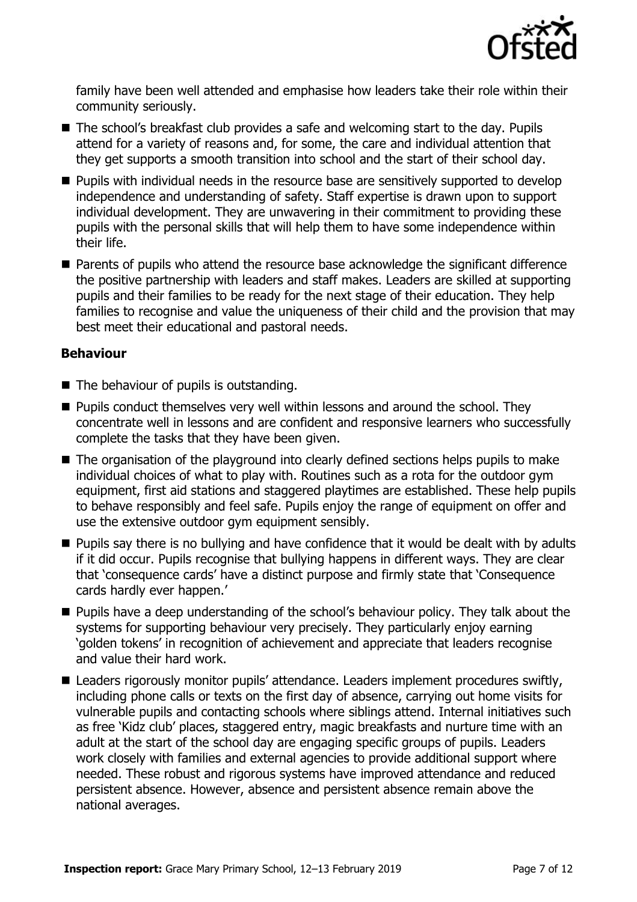

family have been well attended and emphasise how leaders take their role within their community seriously.

- The school's breakfast club provides a safe and welcoming start to the day. Pupils attend for a variety of reasons and, for some, the care and individual attention that they get supports a smooth transition into school and the start of their school day.
- **Pupils with individual needs in the resource base are sensitively supported to develop** independence and understanding of safety. Staff expertise is drawn upon to support individual development. They are unwavering in their commitment to providing these pupils with the personal skills that will help them to have some independence within their life.
- Parents of pupils who attend the resource base acknowledge the significant difference the positive partnership with leaders and staff makes. Leaders are skilled at supporting pupils and their families to be ready for the next stage of their education. They help families to recognise and value the uniqueness of their child and the provision that may best meet their educational and pastoral needs.

### **Behaviour**

- $\blacksquare$  The behaviour of pupils is outstanding.
- $\blacksquare$  Pupils conduct themselves very well within lessons and around the school. They concentrate well in lessons and are confident and responsive learners who successfully complete the tasks that they have been given.
- The organisation of the playground into clearly defined sections helps pupils to make individual choices of what to play with. Routines such as a rota for the outdoor gym equipment, first aid stations and staggered playtimes are established. These help pupils to behave responsibly and feel safe. Pupils enjoy the range of equipment on offer and use the extensive outdoor gym equipment sensibly.
- **Pupils say there is no bullying and have confidence that it would be dealt with by adults** if it did occur. Pupils recognise that bullying happens in different ways. They are clear that 'consequence cards' have a distinct purpose and firmly state that 'Consequence cards hardly ever happen.'
- **Pupils have a deep understanding of the school's behaviour policy. They talk about the** systems for supporting behaviour very precisely. They particularly enjoy earning 'golden tokens' in recognition of achievement and appreciate that leaders recognise and value their hard work.
- Leaders rigorously monitor pupils' attendance. Leaders implement procedures swiftly, including phone calls or texts on the first day of absence, carrying out home visits for vulnerable pupils and contacting schools where siblings attend. Internal initiatives such as free 'Kidz club' places, staggered entry, magic breakfasts and nurture time with an adult at the start of the school day are engaging specific groups of pupils. Leaders work closely with families and external agencies to provide additional support where needed. These robust and rigorous systems have improved attendance and reduced persistent absence. However, absence and persistent absence remain above the national averages.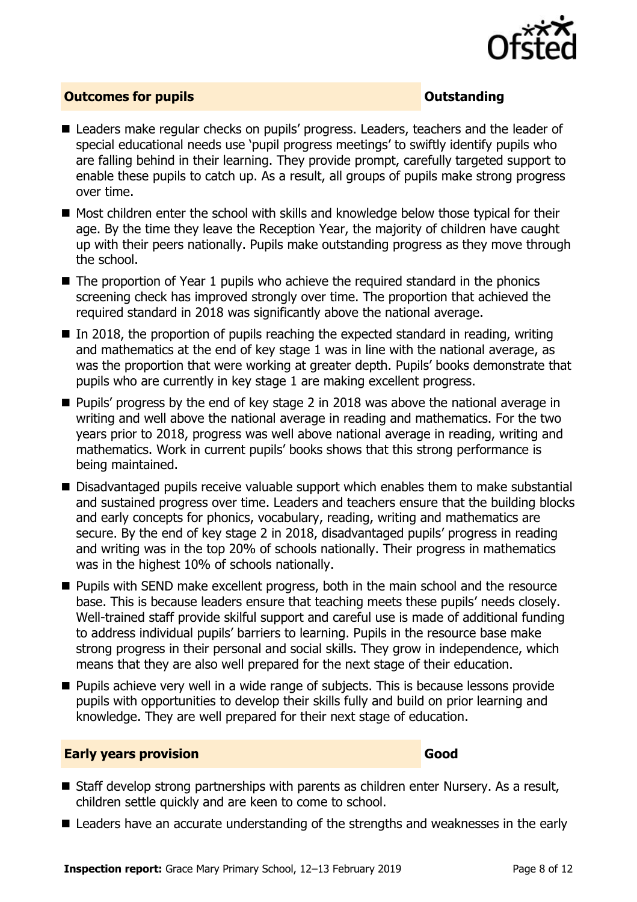

### **Outcomes for pupils Outstanding**

- Leaders make regular checks on pupils' progress. Leaders, teachers and the leader of special educational needs use 'pupil progress meetings' to swiftly identify pupils who are falling behind in their learning. They provide prompt, carefully targeted support to enable these pupils to catch up. As a result, all groups of pupils make strong progress over time.
- Most children enter the school with skills and knowledge below those typical for their age. By the time they leave the Reception Year, the majority of children have caught up with their peers nationally. Pupils make outstanding progress as they move through the school.
- $\blacksquare$  The proportion of Year 1 pupils who achieve the required standard in the phonics screening check has improved strongly over time. The proportion that achieved the required standard in 2018 was significantly above the national average.
- $\blacksquare$  In 2018, the proportion of pupils reaching the expected standard in reading, writing and mathematics at the end of key stage 1 was in line with the national average, as was the proportion that were working at greater depth. Pupils' books demonstrate that pupils who are currently in key stage 1 are making excellent progress.
- **Pupils' progress by the end of key stage 2 in 2018 was above the national average in** writing and well above the national average in reading and mathematics. For the two years prior to 2018, progress was well above national average in reading, writing and mathematics. Work in current pupils' books shows that this strong performance is being maintained.
- Disadvantaged pupils receive valuable support which enables them to make substantial and sustained progress over time. Leaders and teachers ensure that the building blocks and early concepts for phonics, vocabulary, reading, writing and mathematics are secure. By the end of key stage 2 in 2018, disadvantaged pupils' progress in reading and writing was in the top 20% of schools nationally. Their progress in mathematics was in the highest 10% of schools nationally.
- **Pupils with SEND make excellent progress, both in the main school and the resource** base. This is because leaders ensure that teaching meets these pupils' needs closely. Well-trained staff provide skilful support and careful use is made of additional funding to address individual pupils' barriers to learning. Pupils in the resource base make strong progress in their personal and social skills. They grow in independence, which means that they are also well prepared for the next stage of their education.
- **Pupils achieve very well in a wide range of subjects. This is because lessons provide** pupils with opportunities to develop their skills fully and build on prior learning and knowledge. They are well prepared for their next stage of education.

### **Early years provision Good Good**

- Staff develop strong partnerships with parents as children enter Nursery. As a result, children settle quickly and are keen to come to school.
- Leaders have an accurate understanding of the strengths and weaknesses in the early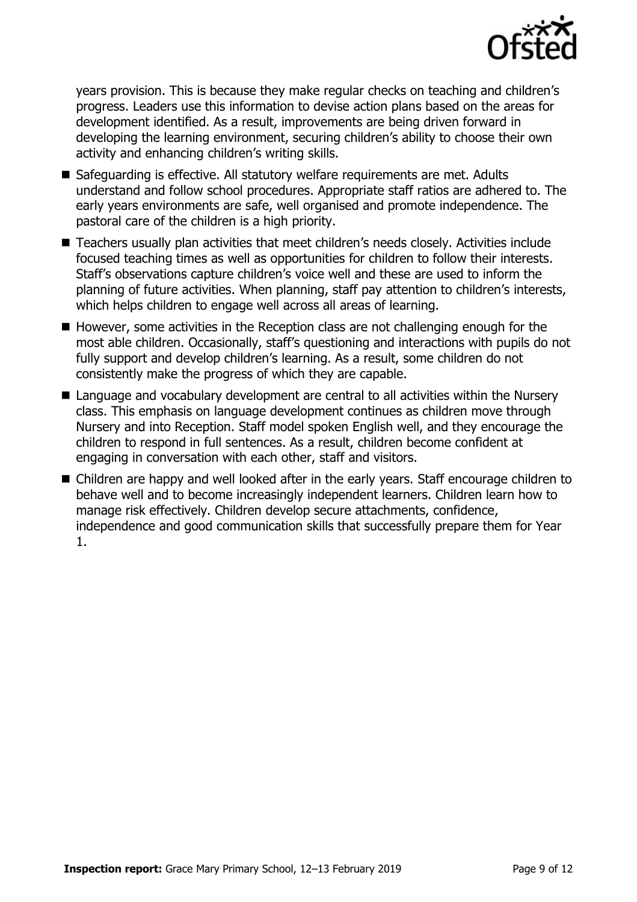

years provision. This is because they make regular checks on teaching and children's progress. Leaders use this information to devise action plans based on the areas for development identified. As a result, improvements are being driven forward in developing the learning environment, securing children's ability to choose their own activity and enhancing children's writing skills.

- Safeguarding is effective. All statutory welfare requirements are met. Adults understand and follow school procedures. Appropriate staff ratios are adhered to. The early years environments are safe, well organised and promote independence. The pastoral care of the children is a high priority.
- Teachers usually plan activities that meet children's needs closely. Activities include focused teaching times as well as opportunities for children to follow their interests. Staff's observations capture children's voice well and these are used to inform the planning of future activities. When planning, staff pay attention to children's interests, which helps children to engage well across all areas of learning.
- $\blacksquare$  However, some activities in the Reception class are not challenging enough for the most able children. Occasionally, staff's questioning and interactions with pupils do not fully support and develop children's learning. As a result, some children do not consistently make the progress of which they are capable.
- Language and vocabulary development are central to all activities within the Nursery class. This emphasis on language development continues as children move through Nursery and into Reception. Staff model spoken English well, and they encourage the children to respond in full sentences. As a result, children become confident at engaging in conversation with each other, staff and visitors.
- Children are happy and well looked after in the early years. Staff encourage children to behave well and to become increasingly independent learners. Children learn how to manage risk effectively. Children develop secure attachments, confidence, independence and good communication skills that successfully prepare them for Year 1.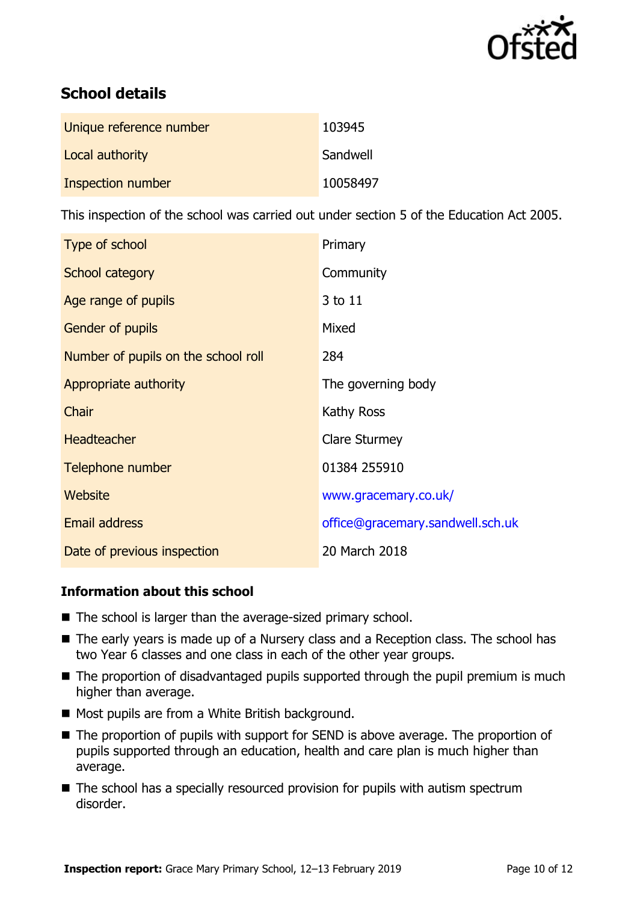

# **School details**

| Unique reference number | 103945   |
|-------------------------|----------|
| Local authority         | Sandwell |
| Inspection number       | 10058497 |

This inspection of the school was carried out under section 5 of the Education Act 2005.

| Type of school                      | Primary                          |
|-------------------------------------|----------------------------------|
| School category                     | Community                        |
| Age range of pupils                 | 3 to 11                          |
| <b>Gender of pupils</b>             | Mixed                            |
| Number of pupils on the school roll | 284                              |
| Appropriate authority               | The governing body               |
| Chair                               | Kathy Ross                       |
| <b>Headteacher</b>                  | <b>Clare Sturmey</b>             |
| Telephone number                    | 01384 255910                     |
| Website                             | www.gracemary.co.uk/             |
| Email address                       | office@gracemary.sandwell.sch.uk |
| Date of previous inspection         | 20 March 2018                    |

### **Information about this school**

- The school is larger than the average-sized primary school.
- The early years is made up of a Nursery class and a Reception class. The school has two Year 6 classes and one class in each of the other year groups.
- The proportion of disadvantaged pupils supported through the pupil premium is much higher than average.
- Most pupils are from a White British background.
- The proportion of pupils with support for SEND is above average. The proportion of pupils supported through an education, health and care plan is much higher than average.
- The school has a specially resourced provision for pupils with autism spectrum disorder.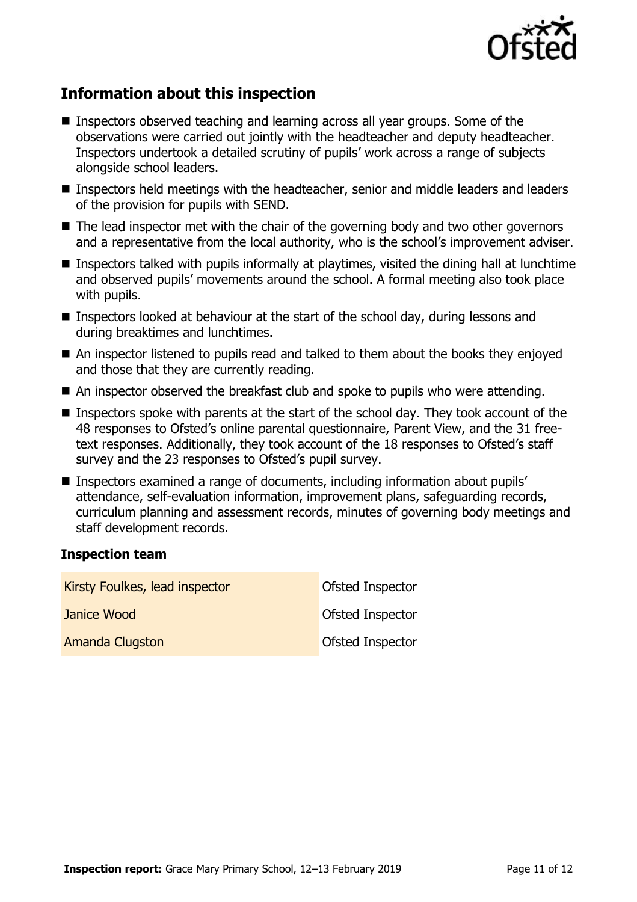

# **Information about this inspection**

- Inspectors observed teaching and learning across all year groups. Some of the observations were carried out jointly with the headteacher and deputy headteacher. Inspectors undertook a detailed scrutiny of pupils' work across a range of subjects alongside school leaders.
- Inspectors held meetings with the headteacher, senior and middle leaders and leaders of the provision for pupils with SEND.
- The lead inspector met with the chair of the governing body and two other governors and a representative from the local authority, who is the school's improvement adviser.
- **Inspectors talked with pupils informally at playtimes, visited the dining hall at lunchtime** and observed pupils' movements around the school. A formal meeting also took place with pupils.
- Inspectors looked at behaviour at the start of the school day, during lessons and during breaktimes and lunchtimes.
- An inspector listened to pupils read and talked to them about the books they enjoyed and those that they are currently reading.
- An inspector observed the breakfast club and spoke to pupils who were attending.
- Inspectors spoke with parents at the start of the school day. They took account of the 48 responses to Ofsted's online parental questionnaire, Parent View, and the 31 freetext responses. Additionally, they took account of the 18 responses to Ofsted's staff survey and the 23 responses to Ofsted's pupil survey.
- Inspectors examined a range of documents, including information about pupils' attendance, self-evaluation information, improvement plans, safeguarding records, curriculum planning and assessment records, minutes of governing body meetings and staff development records.

### **Inspection team**

| Kirsty Foulkes, lead inspector | Ofsted Inspector |
|--------------------------------|------------------|
| Janice Wood                    | Ofsted Inspector |
| <b>Amanda Clugston</b>         | Ofsted Inspector |